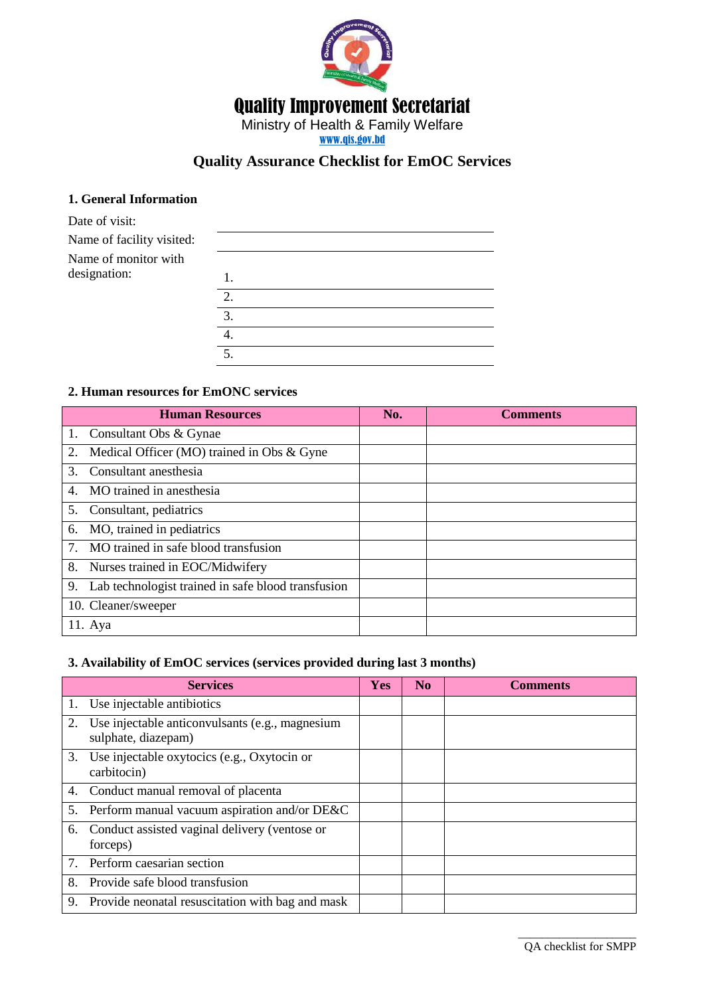

# **Quality Assurance Checklist for EmOC Services**

#### **1. General Information**

| Date of visit:            |    |
|---------------------------|----|
| Name of facility visited: |    |
| Name of monitor with      |    |
| designation:              |    |
|                           | 2. |
|                           | 3. |
|                           | 4. |
|                           | 5. |

#### **2. Human resources for EmONC services**

|                                           | <b>Human Resources</b>                             | No. | <b>Comments</b> |
|-------------------------------------------|----------------------------------------------------|-----|-----------------|
|                                           | 1. Consultant Obs & Gynae                          |     |                 |
| 2.                                        | Medical Officer (MO) trained in Obs & Gyne         |     |                 |
| $\mathcal{E}$                             | Consultant anesthesia                              |     |                 |
| 4.                                        | MO trained in anesthesia                           |     |                 |
| 5.                                        | Consultant, pediatrics                             |     |                 |
| 6.                                        | MO, trained in pediatrics                          |     |                 |
| $7_{\scriptscriptstyle{\ddot{\text{c}}}}$ | MO trained in safe blood transfusion               |     |                 |
| 8.                                        | Nurses trained in EOC/Midwifery                    |     |                 |
| 9.                                        | Lab technologist trained in safe blood transfusion |     |                 |
|                                           | 10. Cleaner/sweeper                                |     |                 |
|                                           | $11.$ Aya                                          |     |                 |

#### **3. Availability of EmOC services (services provided during last 3 months)**

|    | <b>Services</b>                                                        | Yes | N <sub>0</sub> | <b>Comments</b> |
|----|------------------------------------------------------------------------|-----|----------------|-----------------|
|    | 1. Use injectable antibiotics                                          |     |                |                 |
| 2. | Use injectable anticonvulsants (e.g., magnesium<br>sulphate, diazepam) |     |                |                 |
| 3. | Use injectable oxytocics (e.g., Oxytocin or<br>carbitocin)             |     |                |                 |
|    | 4. Conduct manual removal of placenta                                  |     |                |                 |
| 5. | Perform manual vacuum aspiration and/or DE&C                           |     |                |                 |
|    | 6. Conduct assisted vaginal delivery (ventose or<br>forceps)           |     |                |                 |
|    | 7. Perform caesarian section                                           |     |                |                 |
| 8. | Provide safe blood transfusion                                         |     |                |                 |
| 9. | Provide neonatal resuscitation with bag and mask                       |     |                |                 |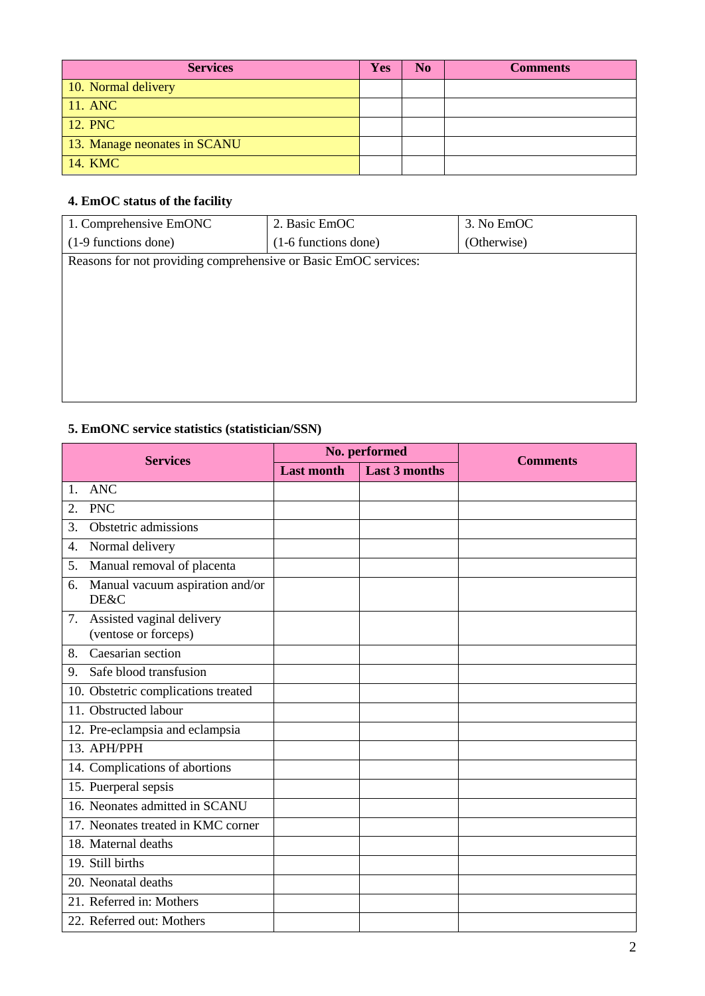| <b>Services</b>              | <b>Yes</b> | N <sub>0</sub> | <b>Comments</b> |
|------------------------------|------------|----------------|-----------------|
| 10. Normal delivery          |            |                |                 |
| 11. ANC                      |            |                |                 |
| 12. PNC                      |            |                |                 |
| 13. Manage neonates in SCANU |            |                |                 |
| 14. KMC                      |            |                |                 |

# **4. EmOC status of the facility**

| 1. Comprehensive EmONC                                          | 2. Basic EmOC        | 3. No EmOC  |
|-----------------------------------------------------------------|----------------------|-------------|
| (1-9 functions done)                                            | (1-6 functions done) | (Otherwise) |
| Reasons for not providing comprehensive or Basic EmOC services: |                      |             |
|                                                                 |                      |             |
|                                                                 |                      |             |
|                                                                 |                      |             |
|                                                                 |                      |             |
|                                                                 |                      |             |
|                                                                 |                      |             |
|                                                                 |                      |             |

# **5. EmONC service statistics (statistician/SSN)**

| <b>Services</b>                                         |                   | No. performed        | <b>Comments</b> |
|---------------------------------------------------------|-------------------|----------------------|-----------------|
|                                                         | <b>Last month</b> | <b>Last 3 months</b> |                 |
| ANC<br>$\mathbf{1}$ .                                   |                   |                      |                 |
| <b>PNC</b><br>2.                                        |                   |                      |                 |
| Obstetric admissions<br>3.                              |                   |                      |                 |
| Normal delivery<br>4.                                   |                   |                      |                 |
| Manual removal of placenta<br>5.                        |                   |                      |                 |
| Manual vacuum aspiration and/or<br>6.<br>DE&C           |                   |                      |                 |
| Assisted vaginal delivery<br>7.<br>(ventose or forceps) |                   |                      |                 |
| Caesarian section<br>8.                                 |                   |                      |                 |
| Safe blood transfusion<br>9.                            |                   |                      |                 |
| 10. Obstetric complications treated                     |                   |                      |                 |
| 11. Obstructed labour                                   |                   |                      |                 |
| 12. Pre-eclampsia and eclampsia                         |                   |                      |                 |
| 13. APH/PPH                                             |                   |                      |                 |
| 14. Complications of abortions                          |                   |                      |                 |
| 15. Puerperal sepsis                                    |                   |                      |                 |
| 16. Neonates admitted in SCANU                          |                   |                      |                 |
| 17. Neonates treated in KMC corner                      |                   |                      |                 |
| 18. Maternal deaths                                     |                   |                      |                 |
| 19. Still births                                        |                   |                      |                 |
| 20. Neonatal deaths                                     |                   |                      |                 |
| 21. Referred in: Mothers                                |                   |                      |                 |
| 22. Referred out: Mothers                               |                   |                      |                 |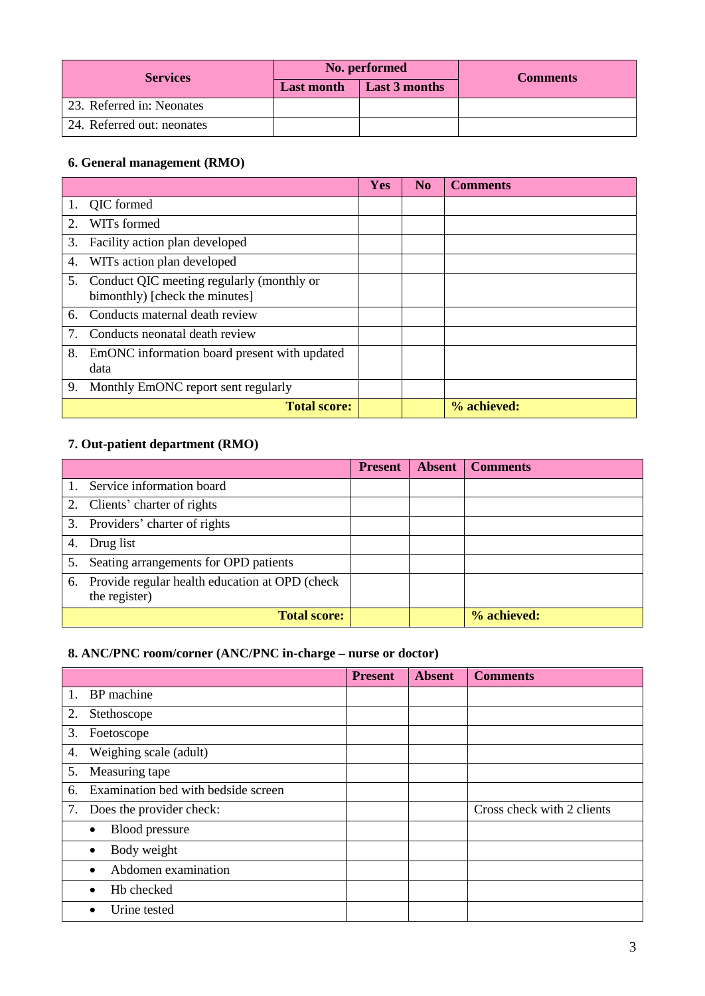| <b>Services</b>            |                   | No. performed        | <b>Comments</b> |  |
|----------------------------|-------------------|----------------------|-----------------|--|
|                            | <b>Last month</b> | <b>Last 3 months</b> |                 |  |
| 23. Referred in: Neonates  |                   |                      |                 |  |
| 24. Referred out: neonates |                   |                      |                 |  |

#### **6. General management (RMO)**

|                                           |                                                                                | Yes | $\bf No$ | <b>Comments</b> |
|-------------------------------------------|--------------------------------------------------------------------------------|-----|----------|-----------------|
|                                           | 1. QIC formed                                                                  |     |          |                 |
| $\mathcal{D}_{\mathcal{L}}$               | WIT <sub>s</sub> formed                                                        |     |          |                 |
| 3.                                        | Facility action plan developed                                                 |     |          |                 |
| 4.                                        | WITs action plan developed                                                     |     |          |                 |
|                                           | 5. Conduct QIC meeting regularly (monthly or<br>bimonthly) [check the minutes] |     |          |                 |
| 6.                                        | Conducts maternal death review                                                 |     |          |                 |
| $7_{\scriptscriptstyle{\ddot{\text{c}}}}$ | Conducts neonatal death review                                                 |     |          |                 |
| 8.                                        | EmONC information board present with updated<br>data                           |     |          |                 |
| 9.                                        | Monthly EmONC report sent regularly                                            |     |          |                 |
|                                           | <b>Total score:</b>                                                            |     |          | % achieved:     |

# **7. Out-patient department (RMO)**

|    |                                                                     | <b>Present</b> | <b>Absent</b> | <b>Comments</b> |
|----|---------------------------------------------------------------------|----------------|---------------|-----------------|
|    | Service information board                                           |                |               |                 |
|    | 2. Clients' charter of rights                                       |                |               |                 |
|    | 3. Providers' charter of rights                                     |                |               |                 |
| 4. | Drug list                                                           |                |               |                 |
| 5. | Seating arrangements for OPD patients                               |                |               |                 |
|    | 6. Provide regular health education at OPD (check)<br>the register) |                |               |                 |
|    | <b>Total score:</b>                                                 |                |               | % achieved:     |

# **8. ANC/PNC room/corner (ANC/PNC in-charge – nurse or doctor)**

|    |                                     | <b>Present</b> | <b>Absent</b> | <b>Comments</b>            |
|----|-------------------------------------|----------------|---------------|----------------------------|
| 1. | BP machine                          |                |               |                            |
| 2. | Stethoscope                         |                |               |                            |
| 3. | Foetoscope                          |                |               |                            |
| 4. | Weighing scale (adult)              |                |               |                            |
| 5. | Measuring tape                      |                |               |                            |
| 6. | Examination bed with bedside screen |                |               |                            |
| 7. | Does the provider check:            |                |               | Cross check with 2 clients |
|    | Blood pressure<br>٠                 |                |               |                            |
|    | Body weight                         |                |               |                            |
|    | Abdomen examination                 |                |               |                            |
|    | Hb checked                          |                |               |                            |
|    | Urine tested                        |                |               |                            |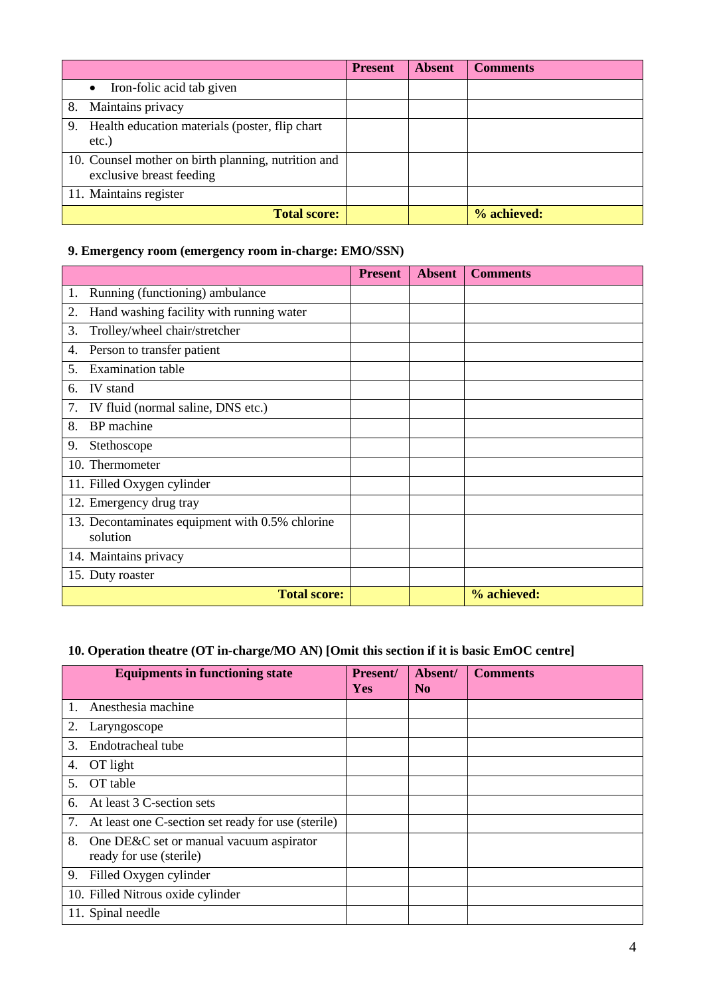|                                                                                 | <b>Present</b> | <b>Absent</b> | <b>Comments</b> |
|---------------------------------------------------------------------------------|----------------|---------------|-----------------|
| Iron-folic acid tab given                                                       |                |               |                 |
| Maintains privacy<br>8.                                                         |                |               |                 |
| 9. Health education materials (poster, flip chart<br>etc.)                      |                |               |                 |
| 10. Counsel mother on birth planning, nutrition and<br>exclusive breast feeding |                |               |                 |
| 11. Maintains register                                                          |                |               |                 |
| <b>Total score:</b>                                                             |                |               | % achieved:     |

#### **9. Emergency room (emergency room in-charge: EMO/SSN)**

|                                                             | <b>Present</b> | <b>Absent</b> | <b>Comments</b> |
|-------------------------------------------------------------|----------------|---------------|-----------------|
| Running (functioning) ambulance<br>1.                       |                |               |                 |
| Hand washing facility with running water<br>2.              |                |               |                 |
| 3.<br>Trolley/wheel chair/stretcher                         |                |               |                 |
| Person to transfer patient<br>4.                            |                |               |                 |
| <b>Examination</b> table<br>5.                              |                |               |                 |
| IV stand<br>6.                                              |                |               |                 |
| IV fluid (normal saline, DNS etc.)<br>7.                    |                |               |                 |
| BP machine<br>8.                                            |                |               |                 |
| 9.<br>Stethoscope                                           |                |               |                 |
| 10. Thermometer                                             |                |               |                 |
| 11. Filled Oxygen cylinder                                  |                |               |                 |
| 12. Emergency drug tray                                     |                |               |                 |
| 13. Decontaminates equipment with 0.5% chlorine<br>solution |                |               |                 |
| 14. Maintains privacy                                       |                |               |                 |
| 15. Duty roaster                                            |                |               |                 |
| <b>Total score:</b>                                         |                |               | % achieved:     |

# **10. Operation theatre (OT in-charge/MO AN) [Omit this section if it is basic EmOC centre]**

|                                      | <b>Equipments in functioning state</b>             | Present/<br><b>Yes</b> | Absent/<br>N <sub>0</sub> | <b>Comments</b> |
|--------------------------------------|----------------------------------------------------|------------------------|---------------------------|-----------------|
| Anesthesia machine<br>$\mathbf{1}$ . |                                                    |                        |                           |                 |
| 2.<br>Laryngoscope                   |                                                    |                        |                           |                 |
| 3.<br>Endotracheal tube              |                                                    |                        |                           |                 |
| OT light<br>4.                       |                                                    |                        |                           |                 |
| OT table<br>5.                       |                                                    |                        |                           |                 |
| 6.                                   | At least 3 C-section sets                          |                        |                           |                 |
| 7.                                   | At least one C-section set ready for use (sterile) |                        |                           |                 |
| 8.<br>ready for use (sterile)        | One DE&C set or manual vacuum aspirator            |                        |                           |                 |
| 9.                                   | Filled Oxygen cylinder                             |                        |                           |                 |
|                                      | 10. Filled Nitrous oxide cylinder                  |                        |                           |                 |
| 11. Spinal needle                    |                                                    |                        |                           |                 |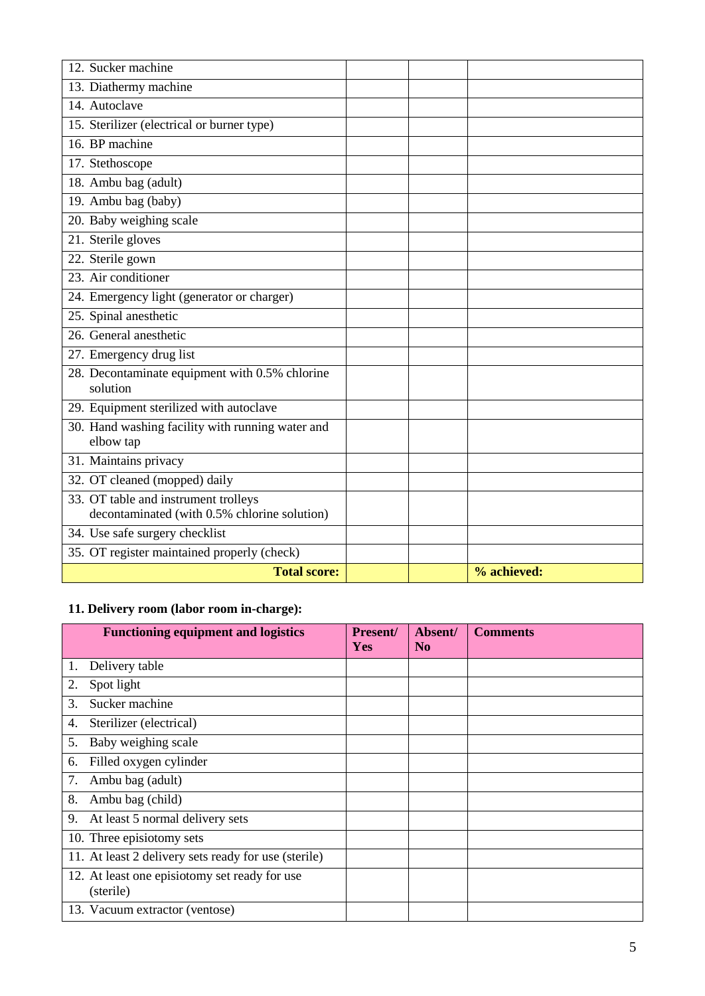| 12. Sucker machine                                                                   |             |
|--------------------------------------------------------------------------------------|-------------|
| 13. Diathermy machine                                                                |             |
| 14. Autoclave                                                                        |             |
| 15. Sterilizer (electrical or burner type)                                           |             |
| 16. BP machine                                                                       |             |
| 17. Stethoscope                                                                      |             |
| 18. Ambu bag (adult)                                                                 |             |
| 19. Ambu bag (baby)                                                                  |             |
| 20. Baby weighing scale                                                              |             |
| 21. Sterile gloves                                                                   |             |
| 22. Sterile gown                                                                     |             |
| 23. Air conditioner                                                                  |             |
| 24. Emergency light (generator or charger)                                           |             |
| 25. Spinal anesthetic                                                                |             |
| 26. General anesthetic                                                               |             |
| 27. Emergency drug list                                                              |             |
| 28. Decontaminate equipment with 0.5% chlorine<br>solution                           |             |
| 29. Equipment sterilized with autoclave                                              |             |
| 30. Hand washing facility with running water and<br>elbow tap                        |             |
| 31. Maintains privacy                                                                |             |
| 32. OT cleaned (mopped) daily                                                        |             |
| 33. OT table and instrument trolleys<br>decontaminated (with 0.5% chlorine solution) |             |
| 34. Use safe surgery checklist                                                       |             |
| 35. OT register maintained properly (check)                                          |             |
| <b>Total score:</b>                                                                  | % achieved: |

# **11. Delivery room (labor room in-charge):**

|    | <b>Functioning equipment and logistics</b>                 | Present/<br><b>Yes</b> | Absent/<br>N <sub>0</sub> | <b>Comments</b> |
|----|------------------------------------------------------------|------------------------|---------------------------|-----------------|
| 1. | Delivery table                                             |                        |                           |                 |
| 2. | Spot light                                                 |                        |                           |                 |
| 3. | Sucker machine                                             |                        |                           |                 |
| 4. | Sterilizer (electrical)                                    |                        |                           |                 |
| 5. | Baby weighing scale                                        |                        |                           |                 |
| 6. | Filled oxygen cylinder                                     |                        |                           |                 |
| 7. | Ambu bag (adult)                                           |                        |                           |                 |
| 8. | Ambu bag (child)                                           |                        |                           |                 |
| 9. | At least 5 normal delivery sets                            |                        |                           |                 |
|    | 10. Three episiotomy sets                                  |                        |                           |                 |
|    | 11. At least 2 delivery sets ready for use (sterile)       |                        |                           |                 |
|    | 12. At least one episiotomy set ready for use<br>(sterile) |                        |                           |                 |
|    | 13. Vacuum extractor (ventose)                             |                        |                           |                 |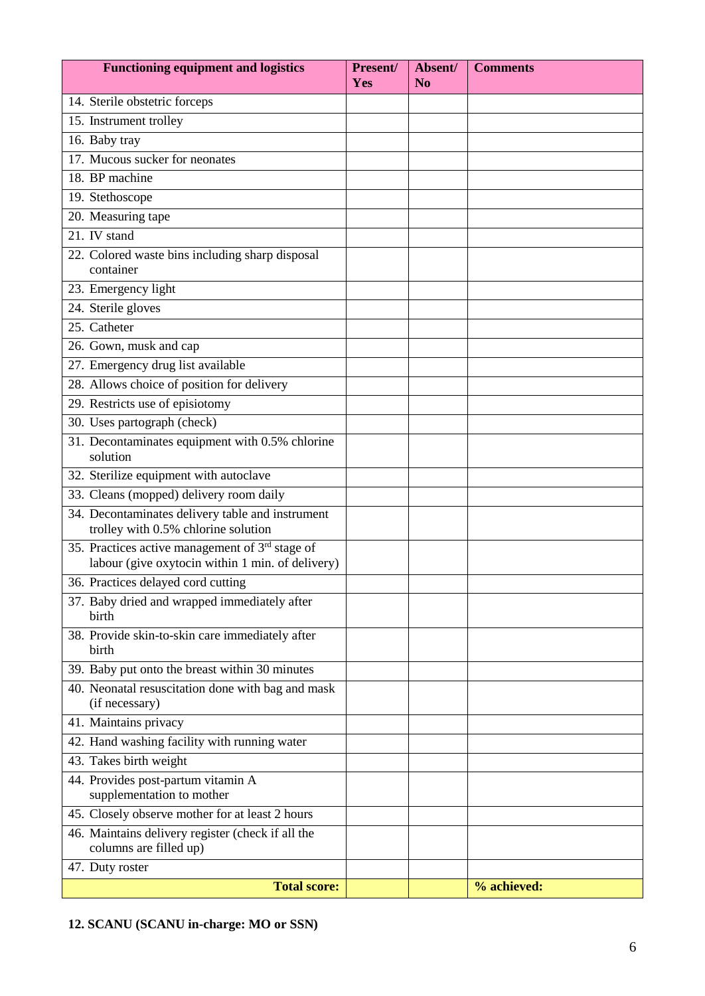| <b>Functioning equipment and logistics</b>                                                            | Present/<br>Yes | Absent/<br>N <sub>o</sub> | <b>Comments</b> |
|-------------------------------------------------------------------------------------------------------|-----------------|---------------------------|-----------------|
| 14. Sterile obstetric forceps                                                                         |                 |                           |                 |
| 15. Instrument trolley                                                                                |                 |                           |                 |
| 16. Baby tray                                                                                         |                 |                           |                 |
| 17. Mucous sucker for neonates                                                                        |                 |                           |                 |
| 18. BP machine                                                                                        |                 |                           |                 |
| 19. Stethoscope                                                                                       |                 |                           |                 |
| 20. Measuring tape                                                                                    |                 |                           |                 |
| 21. IV stand                                                                                          |                 |                           |                 |
| 22. Colored waste bins including sharp disposal<br>container                                          |                 |                           |                 |
| 23. Emergency light                                                                                   |                 |                           |                 |
| 24. Sterile gloves                                                                                    |                 |                           |                 |
| 25. Catheter                                                                                          |                 |                           |                 |
| 26. Gown, musk and cap                                                                                |                 |                           |                 |
| 27. Emergency drug list available                                                                     |                 |                           |                 |
| 28. Allows choice of position for delivery                                                            |                 |                           |                 |
| 29. Restricts use of episiotomy                                                                       |                 |                           |                 |
| 30. Uses partograph (check)                                                                           |                 |                           |                 |
| 31. Decontaminates equipment with 0.5% chlorine<br>solution                                           |                 |                           |                 |
| 32. Sterilize equipment with autoclave                                                                |                 |                           |                 |
| 33. Cleans (mopped) delivery room daily                                                               |                 |                           |                 |
| 34. Decontaminates delivery table and instrument<br>trolley with 0.5% chlorine solution               |                 |                           |                 |
| 35. Practices active management of $3rd$ stage of<br>labour (give oxytocin within 1 min. of delivery) |                 |                           |                 |
| 36. Practices delayed cord cutting                                                                    |                 |                           |                 |
| 37. Baby dried and wrapped immediately after<br>birth                                                 |                 |                           |                 |
| 38. Provide skin-to-skin care immediately after<br>birth                                              |                 |                           |                 |
| 39. Baby put onto the breast within 30 minutes                                                        |                 |                           |                 |
| 40. Neonatal resuscitation done with bag and mask<br>(if necessary)                                   |                 |                           |                 |
| 41. Maintains privacy                                                                                 |                 |                           |                 |
| 42. Hand washing facility with running water                                                          |                 |                           |                 |
| 43. Takes birth weight                                                                                |                 |                           |                 |
| 44. Provides post-partum vitamin A<br>supplementation to mother                                       |                 |                           |                 |
| 45. Closely observe mother for at least 2 hours                                                       |                 |                           |                 |
| 46. Maintains delivery register (check if all the<br>columns are filled up)                           |                 |                           |                 |
| 47. Duty roster                                                                                       |                 |                           |                 |
| <b>Total score:</b>                                                                                   |                 |                           | % achieved:     |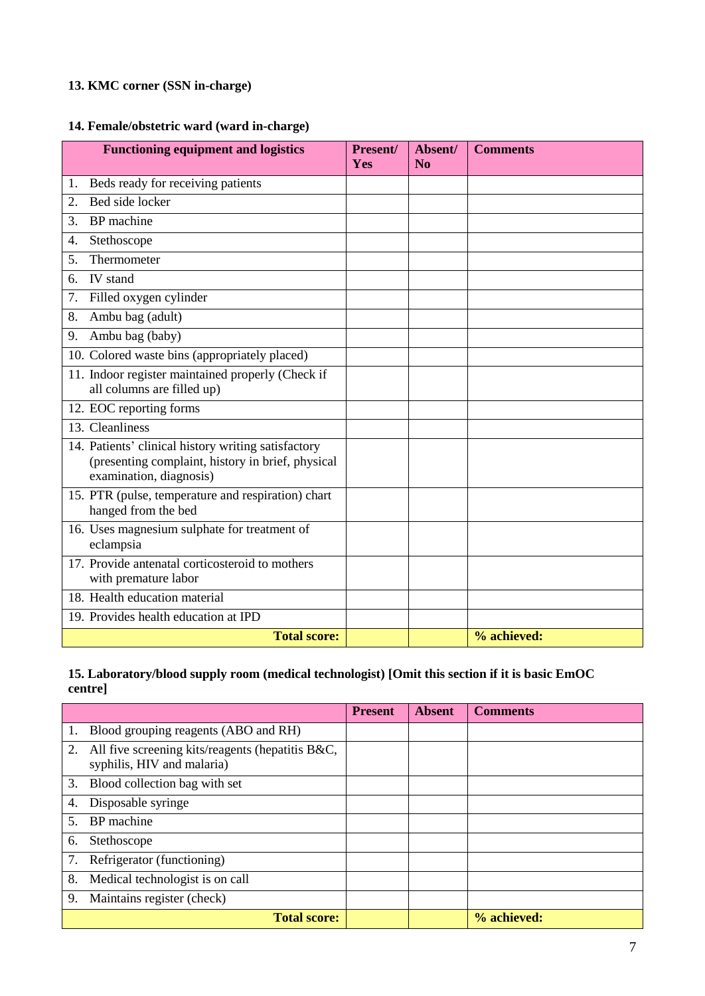# **13. KMC corner (SSN in-charge)**

# **14. Female/obstetric ward (ward in-charge)**

| <b>Functioning equipment and logistics</b>                                                                                          | Present/<br>Yes | Absent/<br>N <sub>o</sub> | <b>Comments</b> |
|-------------------------------------------------------------------------------------------------------------------------------------|-----------------|---------------------------|-----------------|
| Beds ready for receiving patients<br>1.                                                                                             |                 |                           |                 |
| Bed side locker<br>2.                                                                                                               |                 |                           |                 |
| BP machine<br>3.                                                                                                                    |                 |                           |                 |
| Stethoscope<br>4.                                                                                                                   |                 |                           |                 |
| Thermometer<br>5.                                                                                                                   |                 |                           |                 |
| <b>IV</b> stand<br>б.                                                                                                               |                 |                           |                 |
| Filled oxygen cylinder<br>7.                                                                                                        |                 |                           |                 |
| Ambu bag (adult)<br>8.                                                                                                              |                 |                           |                 |
| Ambu bag (baby)<br>9.                                                                                                               |                 |                           |                 |
| 10. Colored waste bins (appropriately placed)                                                                                       |                 |                           |                 |
| 11. Indoor register maintained properly (Check if<br>all columns are filled up)                                                     |                 |                           |                 |
| 12. EOC reporting forms                                                                                                             |                 |                           |                 |
| 13. Cleanliness                                                                                                                     |                 |                           |                 |
| 14. Patients' clinical history writing satisfactory<br>(presenting complaint, history in brief, physical<br>examination, diagnosis) |                 |                           |                 |
| 15. PTR (pulse, temperature and respiration) chart<br>hanged from the bed                                                           |                 |                           |                 |
| 16. Uses magnesium sulphate for treatment of<br>eclampsia                                                                           |                 |                           |                 |
| 17. Provide antenatal corticosteroid to mothers<br>with premature labor                                                             |                 |                           |                 |
| 18. Health education material                                                                                                       |                 |                           |                 |
| 19. Provides health education at IPD                                                                                                |                 |                           |                 |
| <b>Total score:</b>                                                                                                                 |                 |                           | % achieved:     |

#### **15. Laboratory/blood supply room (medical technologist) [Omit this section if it is basic EmOC centre]**

|                                                                                      | <b>Present</b> | <b>Absent</b> | <b>Comments</b> |
|--------------------------------------------------------------------------------------|----------------|---------------|-----------------|
| Blood grouping reagents (ABO and RH)<br>1.                                           |                |               |                 |
| All five screening kits/reagents (hepatitis B&C,<br>2.<br>syphilis, HIV and malaria) |                |               |                 |
| 3.<br>Blood collection bag with set                                                  |                |               |                 |
| Disposable syringe<br>4.                                                             |                |               |                 |
| BP machine<br>$5_{-}$                                                                |                |               |                 |
| Stethoscope<br>6.                                                                    |                |               |                 |
| Refrigerator (functioning)<br>7.                                                     |                |               |                 |
| 8.<br>Medical technologist is on call                                                |                |               |                 |
| 9.<br>Maintains register (check)                                                     |                |               |                 |
| <b>Total score:</b>                                                                  |                |               | % achieved:     |